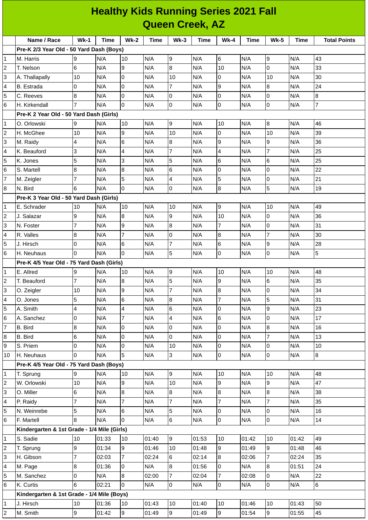|                     | <b>Healthy Kids Running Series 2021 Fall</b>            |                         |       |                |       |                                  |       |                  |       |                |       |                     |
|---------------------|---------------------------------------------------------|-------------------------|-------|----------------|-------|----------------------------------|-------|------------------|-------|----------------|-------|---------------------|
|                     | <b>Queen Creek, AZ</b>                                  |                         |       |                |       |                                  |       |                  |       |                |       |                     |
|                     | Name / Race                                             | $Wk-1$                  | Time  | $Wk-2$         | Time  | $Wk-3$                           | Time  | <b>Wk-4</b>      | Time  | <b>Wk-5</b>    | Time  | <b>Total Points</b> |
|                     | Pre-K 2/3 Year Old - 50 Yard Dash (Boys)                |                         |       |                |       |                                  |       |                  |       |                |       |                     |
| 1                   | M. Harris                                               | 9                       | N/A   | 10             | N/A   | 9                                | N/A   | 6                | N/A   | 9              | N/A   | 43                  |
| 2                   | T. Nelson                                               | 6                       | N/A   | 9              | N/A   | 8                                | N/A   | 10               | N/A   | 0              | N/A   | 33                  |
| 3                   | A. Thallapally                                          | 10                      | N/A   | $\overline{0}$ | N/A   | 10                               | N/A   | 0                | N/A   | 10             | N/A   | 30                  |
| 4                   | <b>B.</b> Estrada                                       | 0                       | N/A   | l0             | N/A   | 7                                | N/A   | 9                | N/A   | 8              | N/A   | 24                  |
| 5                   | C. Reeves                                               | 8                       | N/A   | 0              | N/A   | 0                                | N/A   | 0                | N/A   | 0              | N/A   | 8                   |
| 6                   | H. Kirkendall                                           |                         | N/A   | 0              | N/A   | 0                                | N/A   | 0                | N/A   | 0              | N/A   | $\overline{7}$      |
|                     | Pre-K 2 Year Old - 50 Yard Dash (Girls)                 |                         |       |                |       |                                  |       |                  |       |                |       |                     |
| 1                   | O. Orlowski                                             | 9                       | N/A   | 10             | N/A   | 9                                | N/A   | 10               | N/A   | $\bf{8}$       | N/A   | 46                  |
| 2                   | H. McGhee                                               | 10                      | N/A   | 9              | N/A   | 10                               | N/A   | 0                | N/A   | 10             | N/A   | 39                  |
| 3                   | M. Raidy                                                | 4                       | N/A   | 6              | N/A   | 8                                | N/A   | 9                | N/A   | 9              | N/A   | 36                  |
| 4                   | K. Beauford                                             | 3                       | N/A   | 4              | N/A   | $\overline{7}$                   | N/A   | 4                | N/A   | 7              | N/A   | 25                  |
| 5                   | K. Jones                                                | 5                       | N/A   | 3              | N/A   | 5                                | N/A   | 6                | N/A   | 6              | N/A   | 25                  |
| 6                   | S. Martell                                              | 8                       | N/A   | 8              | N/A   | 6                                | N/A   | 0                | N/A   | 0              | N/A   | 22                  |
| 7                   | M. Zeigler                                              | 7                       | N/A   | 5              | N/A   | 4                                | N/A   | 5                | N/A   | 0              | N/A   | 21                  |
| 8                   | N. Bird                                                 | 6                       | N/A   | $\Omega$       | N/A   | 0                                | N/A   | 8                | N/A   | 5              | N/A   | 19                  |
|                     | Pre-K 3 Year Old - 50 Yard Dash (Girls)                 |                         |       |                |       |                                  |       |                  |       |                |       |                     |
| 1                   | E. Schrader                                             | 10                      | N/A   | 10             | N/A   | 10                               | N/A   | 9                | N/A   | 10             | N/A   | 49                  |
| 2                   | J. Salazar                                              | 9                       | N/A   | 8              | N/A   | 9                                | N/A   | 10               | N/A   | 0              | N/A   | 36                  |
| 3                   | N. Foster                                               | 7                       | N/A   | 9              | N/A   | 8                                | N/A   | 7                | N/A   | 0              | N/A   | 31                  |
| 4                   | R. Valles                                               | 8                       | N/A   | $\overline{7}$ | N/A   | $\overline{0}$                   | N/A   | 8                | N/A   | 7              | N/A   | 30                  |
| 5                   | J. Hirsch                                               | $\Omega$                | N/A   | 6              | N/A   | $\overline{7}$                   | N/A   | 6                | N/A   | 9              | N/A   | 28                  |
| 6                   | H. Neuhaus                                              | <sup>0</sup>            | N/A   | $\Omega$       | N/A   | 5                                | N/A   | 0                | N/A   | 0              | N/A   | 5                   |
|                     | Pre-K 4/5 Year Old - 75 Yard Dash (Girls)               |                         |       |                |       |                                  |       |                  |       |                |       |                     |
| 1                   | E. Allred                                               | 9                       | N/A   | 10             | N/A   | 9                                | N/A   | 10               | N/A   | 10             | N/A   | 48                  |
| 2                   | T. Beauford                                             | $\overline{\mathbf{7}}$ | N/A   | $\overline{8}$ | N/A   | $\overline{5}$                   | N/A   | $\boldsymbol{9}$ | N/A   | 6              | N/A   | 35                  |
| 3                   | O. Zeigler                                              | 10                      | N/A   | 9              | N/A   | $\overline{7}$                   | N/A   | 8                | N/A   | 0              | N/A   | 34                  |
| 4                   | O. Jones                                                | 5                       | N/A   | 6              | N/A   | $8\,$                            | N/A   | $\overline{7}$   | N/A   | 5              | N/A   | 31                  |
| 5                   | A. Smith                                                | 4                       | N/A   | $\overline{4}$ | N/A   | 6                                | N/A   | 0                | N/A   | $\overline{9}$ | N/A   | 23                  |
| 6                   | A. Sanchez                                              | 0                       | N/A   | $\overline{7}$ | N/A   | $\overline{4}$                   | N/A   | $6\phantom{.}6$  | N/A   | $\mathsf{O}$   | N/A   | 17                  |
| $\overline{7}$      | B. Bird                                                 | 8                       | N/A   | 0              | N/A   | 0                                | N/A   | $\overline{0}$   | N/A   | $\bf{8}$       | N/A   | 16                  |
| 8                   | B. Bird                                                 | 6                       | N/A   | l0             | N/A   | 0                                | N/A   | $\overline{0}$   | N/A   | $\overline{7}$ | N/A   | 13                  |
| 9                   | S. Priem                                                | 0                       | N/A   | 0              | N/A   | $10\,$                           | N/A   | 0                | N/A   | 0              | N/A   | 10                  |
| 10                  | H. Neuhaus                                              | $\Omega$                | N/A   | 5              | N/A   | 3                                | N/A   | $\overline{0}$   | N/A   | 0              | N/A   | 8                   |
|                     | Pre-K 4/5 Year Old - 75 Yard Dash (Boys)                |                         |       |                |       |                                  |       |                  |       |                |       |                     |
| 1                   | T. Sprung                                               | 9                       | N/A   | 10             | N/A   | 9                                | N/A   | 10               | N/A   | 10             | N/A   | 48                  |
| 2                   | W. Orlowski                                             | 10                      | N/A   | 9              | N/A   | 10                               | N/A   | 9                | N/A   | $\overline{9}$ | N/A   | 47                  |
| 3                   | O. Miller                                               | 6                       | N/A   | 8              | N/A   | $8\,$                            | N/A   | 8                | N/A   | 8              | N/A   | 38                  |
| 4                   | P. Raidy                                                | $\overline{7}$          | N/A   | $\overline{7}$ | N/A   | $\overline{7}$                   | N/A   | $\overline{7}$   | N/A   | $\overline{7}$ | N/A   | 35                  |
| 5                   | N. Weinrebe                                             | 5                       | N/A   | 6              | N/A   | 5                                | N/A   | $\overline{0}$   | N/A   | 0              | N/A   | 16                  |
| 6                   | F. Martell                                              | 8                       | N/A   | 0              | N/A   | 6                                | N/A   | $\overline{0}$   | N/A   | $\overline{0}$ | N/A   | 14                  |
|                     | Kindergarten & 1st Grade - 1/4 Mile (Girls)             |                         |       |                |       |                                  |       |                  |       |                |       |                     |
| 1                   | S. Sadie                                                | 10                      | 01:33 | 10             | 01:40 | 9                                | 01:53 | 10               | 01:42 | 10             | 01:42 | 49                  |
| 2                   | T. Sprung                                               | 9                       | 01:34 | 9              | 01:46 | 10                               | 01:48 | 9                | 01:49 | $\overline{9}$ | 01:48 | 46                  |
| 3                   | H. Gibson                                               | $\overline{7}$          | 02:03 | $\overline{7}$ | 02:24 | 6                                | 02:14 | 8                | 02:06 | $\overline{7}$ | 02:24 | 35                  |
| 4                   | M. Page                                                 | 8                       | 01:36 | $\overline{0}$ | N/A   | 8                                | 01:56 | $\overline{0}$   | N/A   | 8              | 01:51 | 24                  |
| 5                   | M. Sanchez                                              | 0                       | N/A   | 8<br>$\Omega$  | 02:00 | $\overline{7}$<br>$\overline{0}$ | 02:04 | $\overline{7}$   | 02:08 | 0              | N/A   | 22                  |
| 6                   | K. Curtis                                               | 6                       | 02:21 |                | N/A   |                                  | N/A   | $\overline{0}$   | N/A   | 0              | N/A   | 6                   |
|                     | Kindergarten & 1st Grade - 1/4 Mile (Boys)<br>J. Hirsch | 10                      | 01:36 | 10             | 01:43 | 10                               | 01:40 | 10               | 01:46 | 10             | 01:43 | 50                  |
| 1<br>$\overline{c}$ | M. Smith                                                | 9                       | 01:42 | 9              | 01:49 | $9^{\circ}$                      | 01:49 | 9                | 01:54 | 9              | 01:55 | 45                  |
|                     |                                                         |                         |       |                |       |                                  |       |                  |       |                |       |                     |